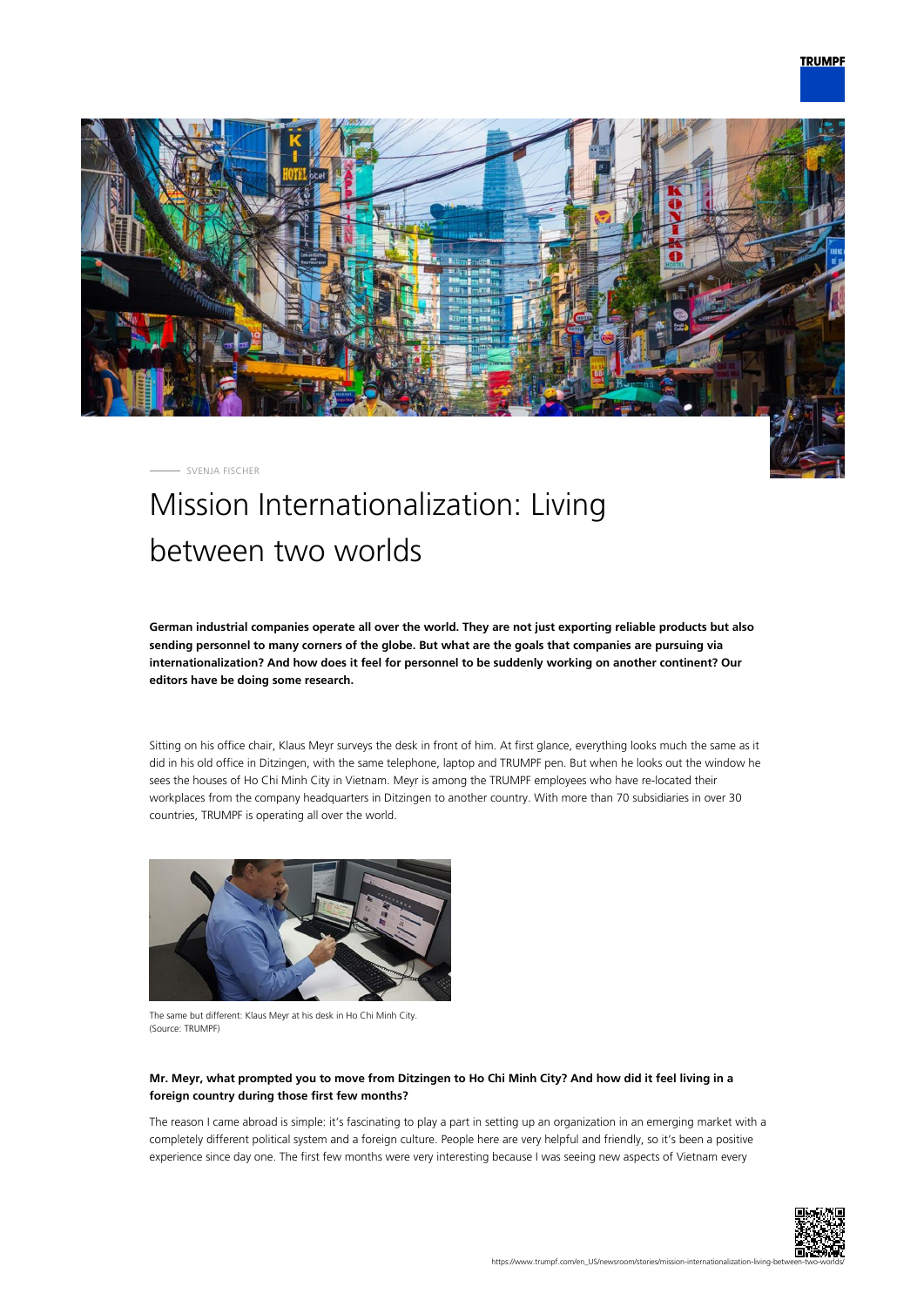

SVENJA FISCHER

# Mission Internationalization: Living between two worlds

**German industrial companies operate all over the world. They are not just exporting reliable products but also sending personnel to many corners of the globe. But what are the goals that companies are pursuing via internationalization? And how does it feel for personnel to be suddenly working on another continent? Our editors have be doing some research.**

Sitting on his office chair, Klaus Meyr surveys the desk in front of him. At first glance, everything looks much the same as it did in his old office in Ditzingen, with the same telephone, laptop and TRUMPF pen. But when he looks out the window he sees the houses of Ho Chi Minh City in Vietnam. Meyr is among the TRUMPF employees who have re-located their workplaces from the company headquarters in Ditzingen to another country. With more than 70 subsidiaries in over 30 countries, TRUMPF is operating all over the world.



The same but different: Klaus Meyr at his desk in Ho Chi Minh City. (Source: TRUMPF)

# **Mr. Meyr, what prompted you to move from Ditzingen to Ho Chi Minh City? And how did it feel living in a foreign country during those first few months?**

The reason I came abroad is simple: it's fascinating to play a part in setting up an organization in an emerging market with a completely different political system and a foreign culture. People here are very helpful and friendly, so it's been a positive experience since day one. The first few months were very interesting because I was seeing new aspects of Vietnam every